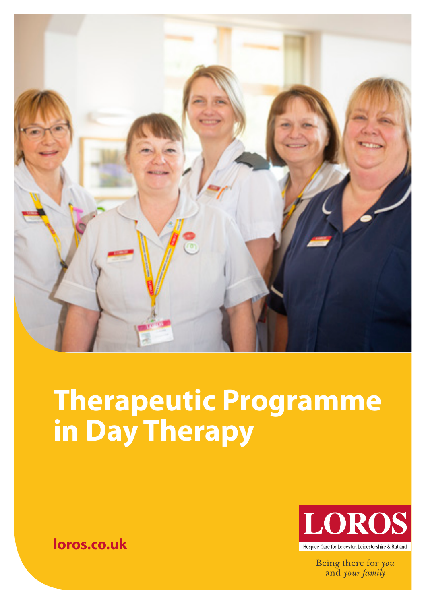

# **Therapeutic Programme in Day Therapy**



Being there for you and your family

**loros.co.uk**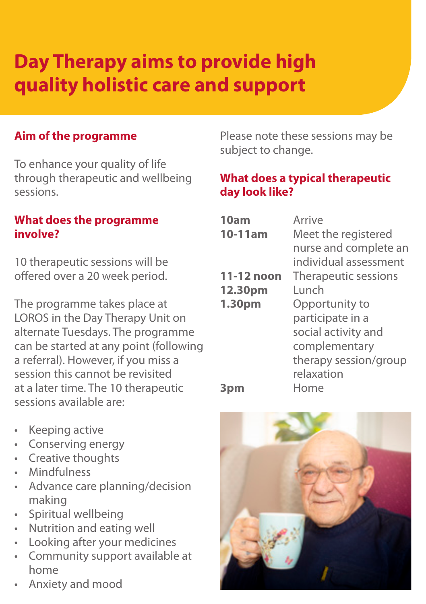## **Day Therapy aims to provide high quality holistic care and support**

#### **Aim of the programme**

To enhance your quality of life through therapeutic and wellbeing sessions.

#### **What does the programme involve?**

10 therapeutic sessions will be offered over a 20 week period.

The programme takes place at LOROS in the Day Therapy Unit on alternate Tuesdays. The programme can be started at any point (following a referral). However, if you miss a session this cannot be revisited at a later time. The 10 therapeutic sessions available are:

Please note these sessions may be subject to change.

#### **What does a typical therapeutic day look like?**

| 10am<br>10-11am | Arrive<br>Meet the registered<br>nurse and complete an<br>individual assessment |
|-----------------|---------------------------------------------------------------------------------|
| 11-12 noon      | Therapeutic sessions                                                            |
| 12.30pm         | Lunch                                                                           |
| 1.30pm          | Opportunity to                                                                  |
|                 | participate in a                                                                |
|                 | social activity and                                                             |
|                 | complementary                                                                   |
|                 | therapy session/group                                                           |
|                 | relaxation                                                                      |
|                 | Home                                                                            |

- Keeping active
- Conserving energy
- Creative thoughts
- Mindfulness
- Advance care planning/decision making
- Spiritual wellbeing
- Nutrition and eating well
- Looking after your medicines
- Community support available at home
- Anxiety and mood

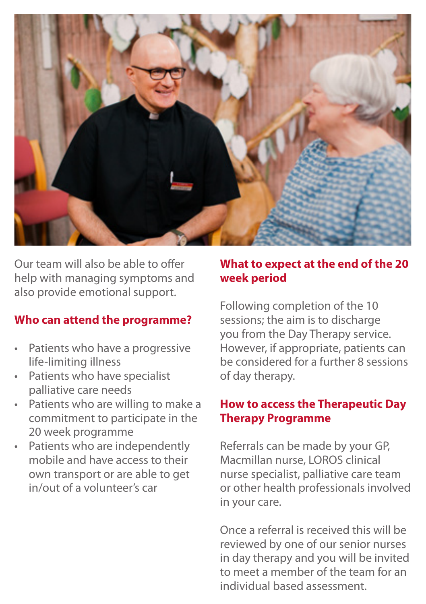

Our team will also be able to offer help with managing symptoms and also provide emotional support.

#### **Who can attend the programme?**

- Patients who have a progressive life-limiting illness
- Patients who have specialist palliative care needs
- Patients who are willing to make a commitment to participate in the 20 week programme
- Patients who are independently mobile and have access to their own transport or are able to get in/out of a volunteer's car

#### **What to expect at the end of the 20 week period**

Following completion of the 10 sessions; the aim is to discharge you from the Day Therapy service. However, if appropriate, patients can be considered for a further 8 sessions of day therapy.

#### **How to access the Therapeutic Day Therapy Programme**

Referrals can be made by your GP, Macmillan nurse, LOROS clinical nurse specialist, palliative care team or other health professionals involved in your care.

Once a referral is received this will be reviewed by one of our senior nurses in day therapy and you will be invited to meet a member of the team for an individual based assessment.